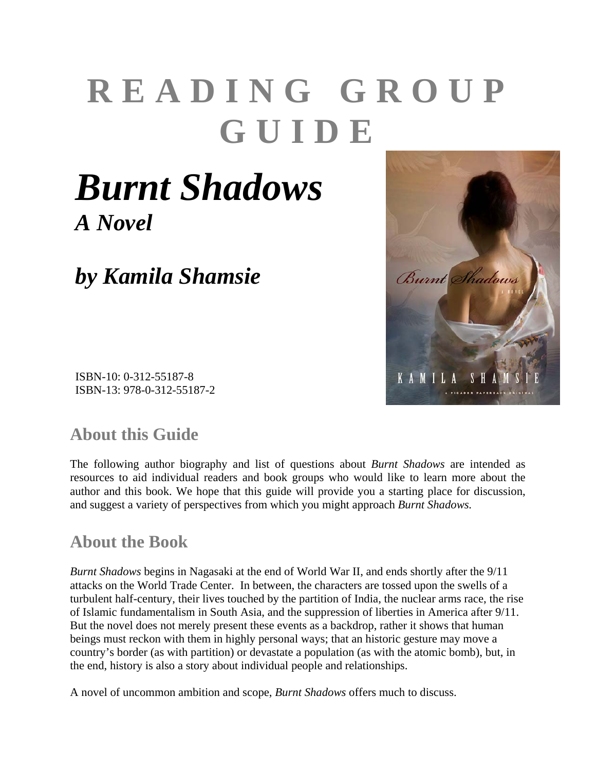# **READING GROUP GUIDE**

## *Burnt Shadows A Novel*

*by Kamila Shamsie*



#### **About this Guide**

The following author biography and list of questions about *Burnt Shadows* are intended as resources to aid individual readers and book groups who would like to learn more about the author and this book. We hope that this guide will provide you a starting place for discussion, and suggest a variety of perspectives from which you might approach *Burnt Shadows.*

#### **About the Book**

*Burnt Shadows* begins in Nagasaki at the end of World War II, and ends shortly after the 9/11 attacks on the World Trade Center. In between, the characters are tossed upon the swells of a turbulent half-century, their lives touched by the partition of India, the nuclear arms race, the rise of Islamic fundamentalism in South Asia, and the suppression of liberties in America after 9/11. But the novel does not merely present these events as a backdrop, rather it shows that human beings must reckon with them in highly personal ways; that an historic gesture may move a country's border (as with partition) or devastate a population (as with the atomic bomb), but, in the end, history is also a story about individual people and relationships.

A novel of uncommon ambition and scope, *Burnt Shadows* offers much to discuss.

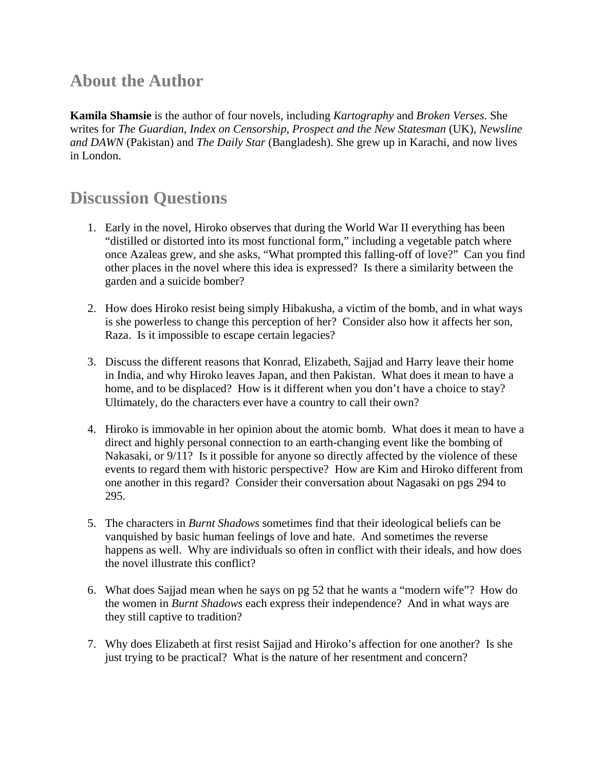#### **About the Author**

**Kamila Shamsie** is the author of four novels, including *Kartography* and *Broken Verses*. She writes for *The Guardian*, *Index on Censorship*, *Prospect and the New Statesman* (UK), *Newsline and DAWN* (Pakistan) and *The Daily Star* (Bangladesh). She grew up in Karachi, and now lives in London.

#### **Discussion Questions**

- 1. Early in the novel, Hiroko observes that during the World War II everything has been "distilled or distorted into its most functional form," including a vegetable patch where once Azaleas grew, and she asks, "What prompted this falling-off of love?" Can you find other places in the novel where this idea is expressed? Is there a similarity between the garden and a suicide bomber?
- 2. How does Hiroko resist being simply Hibakusha, a victim of the bomb, and in what ways is she powerless to change this perception of her? Consider also how it affects her son, Raza. Is it impossible to escape certain legacies?
- 3. Discuss the different reasons that Konrad, Elizabeth, Sajjad and Harry leave their home in India, and why Hiroko leaves Japan, and then Pakistan. What does it mean to have a home, and to be displaced? How is it different when you don't have a choice to stay? Ultimately, do the characters ever have a country to call their own?
- 4. Hiroko is immovable in her opinion about the atomic bomb. What does it mean to have a direct and highly personal connection to an earth-changing event like the bombing of Nakasaki, or 9/11? Is it possible for anyone so directly affected by the violence of these events to regard them with historic perspective? How are Kim and Hiroko different from one another in this regard? Consider their conversation about Nagasaki on pgs 294 to 295.
- 5. The characters in *Burnt Shadows* sometimes find that their ideological beliefs can be vanquished by basic human feelings of love and hate. And sometimes the reverse happens as well. Why are individuals so often in conflict with their ideals, and how does the novel illustrate this conflict?
- 6. What does Sajjad mean when he says on pg 52 that he wants a "modern wife"? How do the women in *Burnt Shadows* each express their independence? And in what ways are they still captive to tradition?
- 7. Why does Elizabeth at first resist Sajjad and Hiroko's affection for one another? Is she just trying to be practical? What is the nature of her resentment and concern?